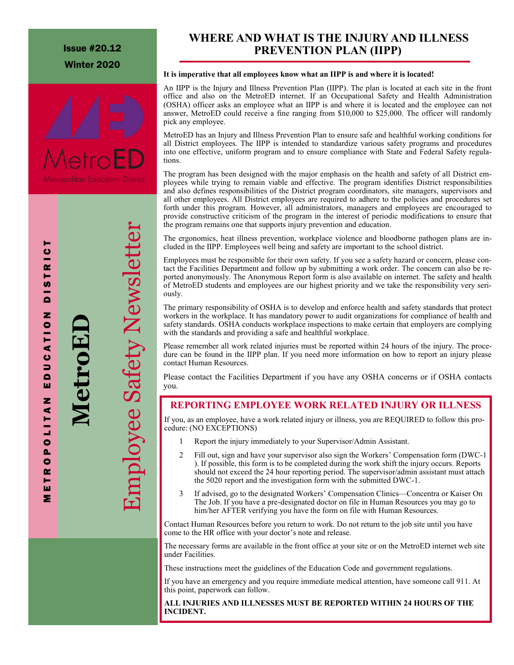Issue #20.12 Winter 2020



M E T R O P O L I T A N E D U C A T I O N D I S T R I C T

ш z

POLITA

 $\bullet$ œ ь ш Σ

DUCATIO

ь  $\bullet$ 

TR I

U)  $\ddot{ }$ 

Z

**MetroED**

Employee Safety Newsletter

nployee Safety Newslet

# **PREVENTION PLAN (IIPP) WHERE AND WHAT IS THE INJURY AND ILLNESS**

### **It is imperative that all employees know what an IIPP is and where it is located!**

An IIPP is the Injury and Illness Prevention Plan (IIPP). The plan is located at each site in the front office and also on the MetroED internet. If an Occupational Safety and Health Administration (OSHA) officer asks an employee what an IIPP is and where it is located and the employee can not answer, MetroED could receive a fine ranging from \$10,000 to \$25,000. The officer will randomly pick any employee.

MetroED has an Injury and Illness Prevention Plan to ensure safe and healthful working conditions for all District employees. The IIPP is intended to standardize various safety programs and procedures into one effective, uniform program and to ensure compliance with State and Federal Safety regulations.

The program has been designed with the major emphasis on the health and safety of all District employees while trying to remain viable and effective. The program identifies District responsibilities and also defines responsibilities of the District program coordinators, site managers, supervisors and all other employees. All District employees are required to adhere to the policies and procedures set forth under this program. However, all administrators, managers and employees are encouraged to provide constructive criticism of the program in the interest of periodic modifications to ensure that the program remains one that supports injury prevention and education.

The ergonomics, heat illness prevention, workplace violence and bloodborne pathogen plans are included in the IIPP. Employees well being and safety are important to the school district.

Employees must be responsible for their own safety. If you see a safety hazard or concern, please contact the Facilities Department and follow up by submitting a work order. The concern can also be reported anonymously. The Anonymous Report form is also available on internet. The safety and health of MetroED students and employees are our highest priority and we take the responsibility very seriously.

The primary responsibility of OSHA is to develop and enforce health and safety standards that protect workers in the workplace. It has mandatory power to audit organizations for compliance of health and safety standards. OSHA conducts workplace inspections to make certain that employers are complying with the standards and providing a safe and healthful workplace.

Please remember all work related injuries must be reported within 24 hours of the injury. The procedure can be found in the IIPP plan. If you need more information on how to report an injury please contact Human Resources.

Please contact the Facilities Department if you have any OSHA concerns or if OSHA contacts you.

# **REPORTING EMPLOYEE WORK RELATED INJURY OR ILLNESS**

If you, as an employee, have a work related injury or illness, you are REQUIRED to follow this procedure: (NO EXCEPTIONS)

- 1 Report the injury immediately to your Supervisor/Admin Assistant.
- 2 Fill out, sign and have your supervisor also sign the Workers' Compensation form (DWC-1 ). If possible, this form is to be completed during the work shift the injury occurs. Reports should not exceed the 24 hour reporting period. The supervisor/admin assistant must attach the 5020 report and the investigation form with the submitted DWC-1.
- 3 If advised, go to the designated Workers' Compensation Clinics—Concentra or Kaiser On The Job. If you have a pre-designated doctor on file in Human Resources you may go to him/her AFTER verifying you have the form on file with Human Resources.

Contact Human Resources before you return to work. Do not return to the job site until you have come to the HR office with your doctor's note and release.

The necessary forms are available in the front office at your site or on the MetroED internet web site under Facilities.

These instructions meet the guidelines of the Education Code and government regulations.

If you have an emergency and you require immediate medical attention, have someone call 911. At this point, paperwork can follow.

### **ALL INJURIES AND ILLNESSES MUST BE REPORTED WITHIN 24 HOURS OF THE INCIDENT.**